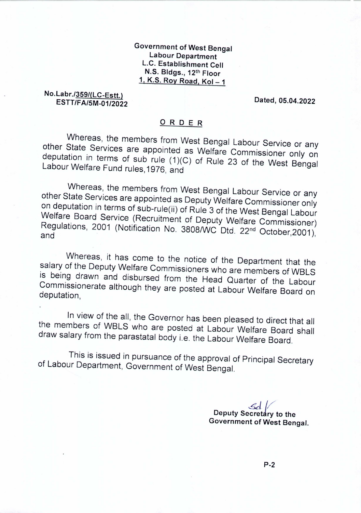Government of West Bengal Labour Department L.C. Establishment Cell N.S. Bldgs., 12th Floor 1, K.S. Roy Road,  $Kol - 1$ 

No.Labr./359/(LC-Estt.) *ESTT/FA/5M-01/2022* Dated, 05.04.2022

## o <sup>R</sup> <sup>D</sup> <sup>E</sup> <sup>R</sup>

Whereas, the members from West Bengal Labour Service or any other State Services are appointed as Welfare Commissioner only on deputation in terms of sub rule (1)(C) of Rule 23 of the West Bengal Labour Welfare Fund rules, 1976, and

Whereas, the members from West Bengal Labour Service or any other State Services are appointed as Deputy Welfare Commissioner only on deputation in terms of sub-rule(ii) of Rule 3 of the West Bengal Labour Welfare Board Service (Recruitment of Deputy Welfare Commissioner) Regulations, 2001 (Notification No. *3808IWC* Dtd. 22nd October,2001), and

Whereas, it has come to the notice of the Department that the salary of the Deputy Welfare Commissioners who are members of WBLS is being drawn and disbursed from the Head Quarter of the Labour Commissionerate although they are posted at Labour Welfare Board on deputation,

In view of the all, the Governor has been pleased to direct that all the members of WBLS who are posted at Labour Welfare Board shall draw salary from the parastatal body i.e. the Labour Welfare Board.

This is issued in pursuance of the approval of Principal Secretary of Labour Department, Government of West Bengal.

> *&1//* Deputy Secretary to the Government of West Bengal.